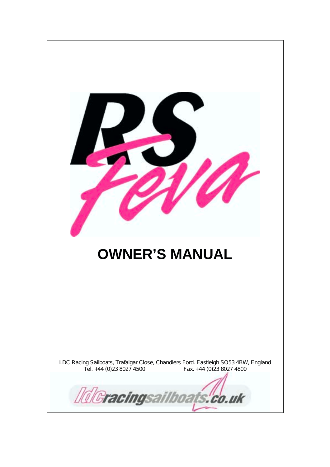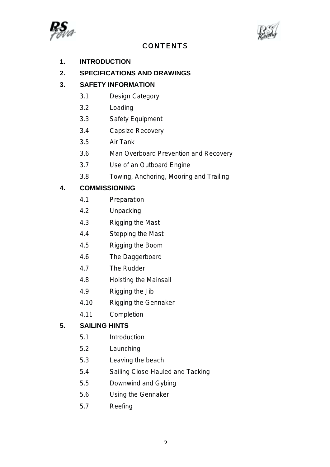



# CONTENTS

- **1. INTRODUCTION**
- **2. SPECIFICATIONS AND DRAWINGS**

# **3. SAFETY INFORMATION**

- 3.1 Design Category
- 3.2 Loading
- 3.3 Safety Equipment
- 3.4 Capsize Recovery
- 3.5 Air Tank
- 3.6 Man Overboard Prevention and Recovery
- 3.7 Use of an Outboard Engine
- 3.8 Towing, Anchoring, Mooring and Trailing

### **4. COMMISSIONING**

- 4.1 Preparation
- 4.2 Unpacking
- 4.3 Rigging the Mast
- 4.4 Stepping the Mast
- 4.5 Rigging the Boom
- 4.6 The Daggerboard
- 4.7 The Rudder
- 4.8 Hoisting the Mainsail
- 4.9 Rigging the Jib
- 4.10 Rigging the Gennaker
- 4.11 Completion

# **5. SAILING HINTS**

- 5.1 Introduction
- 5.2 Launching
- 5.3 Leaving the beach
- 5.4 Sailing Close-Hauled and Tacking
- 5.5 Downwind and Gybing
- 5.6 Using the Gennaker
- 5.7 Reefing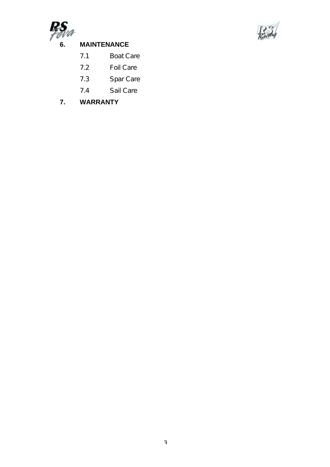

# **6. MAINTENANCE**



# 7.1 Boat Care

- 7.2 Foil Care
- 7.3 Spar Care
- 7.4 Sail Care
- **7. WARRANTY**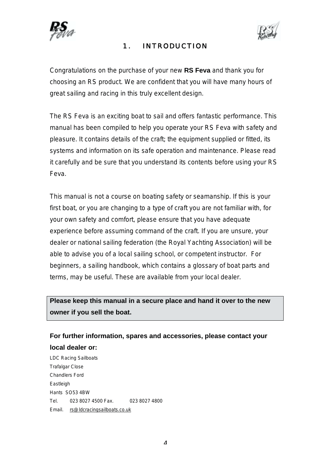



# 1. INTRODUCTION

Congratulations on the purchase of your new **RS Feva** and thank you for choosing an RS product. We are confident that you will have many hours of great sailing and racing in this truly excellent design.

The RS Feva is an exciting boat to sail and offers fantastic performance. This manual has been compiled to help you operate your RS Feva with safety and pleasure. It contains details of the craft; the equipment supplied or fitted, its systems and information on its safe operation and maintenance. Please read it carefully and be sure that you understand its contents before using your RS Feva.

This manual is not a course on boating safety or seamanship. If this is your first boat, or you are changing to a type of craft you are not familiar with, for your own safety and comfort, please ensure that you have adequate experience before assuming command of the craft. If you are unsure, your dealer or national sailing federation (the Royal Yachting Association) will be able to advise you of a local sailing school, or competent instructor. For beginners, a sailing handbook, which contains a glossary of boat parts and terms, may be useful. These are available from your local dealer.

**Please keep this manual in a secure place and hand it over to the new owner if you sell the boat.**

**For further information, spares and accessories, please contact your local dealer or:**

LDC Racing Sailboats Trafalgar Close Chandlers Ford Eastleigh Hants SO53 4BW Tel. 023 8027 4500 Fax. 023 8027 4800 Email. rs@ldcracingsailboats.co.uk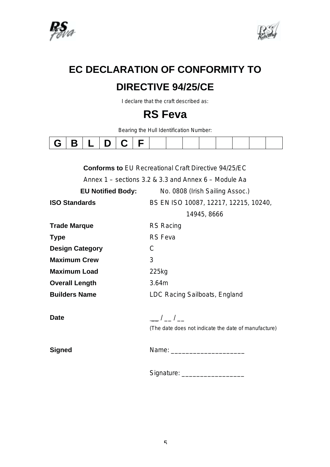



# **EC DECLARATION OF CONFORMITY TO DIRECTIVE 94/25/CE**

I declare that the craft described as:

# **RS Feva**

Bearing the Hull Identification Number:

| and the state |
|---------------|
|---------------|

|                                                          | <b>Conforms to EU Recreational Craft Directive 94/25/EC</b> |  |  |  |
|----------------------------------------------------------|-------------------------------------------------------------|--|--|--|
| Annex $1$ – sections 3.2 & 3.3 and Annex $6$ – Module Aa |                                                             |  |  |  |
| <b>EU Notified Body:</b>                                 | No. 0808 (Irish Sailing Assoc.)                             |  |  |  |
| <b>ISO Standards</b>                                     | BS EN ISO 10087, 12217, 12215, 10240,                       |  |  |  |
|                                                          | 14945, 8666                                                 |  |  |  |
| <b>Trade Marque</b>                                      | <b>RS Racing</b>                                            |  |  |  |
| <b>Type</b>                                              | <b>RS</b> Feva                                              |  |  |  |
| <b>Design Category</b>                                   | C                                                           |  |  |  |
| <b>Maximum Crew</b>                                      | 3                                                           |  |  |  |
| <b>Maximum Load</b>                                      | 225kg                                                       |  |  |  |
| <b>Overall Length</b>                                    | 3.64m                                                       |  |  |  |
| <b>Builders Name</b>                                     | LDC Racing Sailboats, England                               |  |  |  |
|                                                          |                                                             |  |  |  |
| Date                                                     | $-1-1$                                                      |  |  |  |
|                                                          | (The date does not indicate the date of manufacture)        |  |  |  |
|                                                          |                                                             |  |  |  |
| Signed                                                   |                                                             |  |  |  |
|                                                          | Signature: ____________________                             |  |  |  |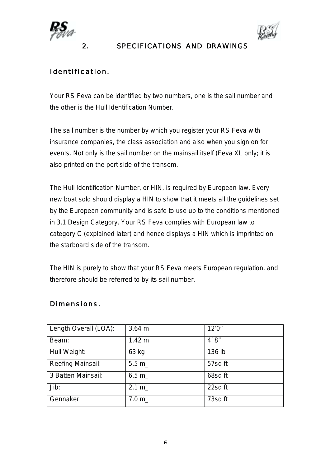



# 2. SPECIFICATIONS AND DRAWINGS

# Identification.

Your RS Feva can be identified by two numbers, one is the sail number and the other is the Hull Identification Number.

The sail number is the number by which you register your RS Feva with insurance companies, the class association and also when you sign on for events. Not only is the sail number on the mainsail itself (Feva XL only; it is also printed on the port side of the transom.

The Hull Identification Number, or HIN, is required by European law. Every new boat sold should display a HIN to show that it meets all the guidelines set by the European community and is safe to use up to the conditions mentioned in 3.1 Design Category. Your RS Feva complies with European law to category C (explained later) and hence displays a HIN which is imprinted on the starboard side of the transom.

The HIN is purely to show that your RS Feva meets European regulation, and therefore should be referred to by its sail number.

| Length Overall (LOA): | $3.64$ m | 12'0''  |
|-----------------------|----------|---------|
| Beam:                 | 1.42 m   | 4' 8''  |
| Hull Weight:          | 63 kg    | 136 lb  |
| Reefing Mainsail:     | 5.5 m    | 57sq ft |
| 3 Batten Mainsail:    | 6.5 m    | 68sq ft |
| Jib:                  | 2.1 m    | 22sq ft |
| Gennaker:             | 7.0 m    | 73sq ft |

# Dimensions.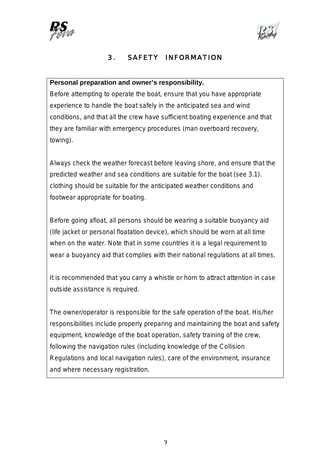



# 3. SAFETY INFORMATION

### **Personal preparation and owner's responsibility.**

Before attempting to operate the boat, ensure that you have appropriate experience to handle the boat safely in the anticipated sea and wind conditions, and that all the crew have sufficient boating experience and that they are familiar with emergency procedures (man overboard recovery, towing).

Always check the weather forecast before leaving shore, and ensure that the predicted weather and sea conditions are suitable for the boat (see 3.1). clothing should be suitable for the anticipated weather conditions and footwear appropriate for boating.

Before going afloat, all persons should be wearing a suitable buoyancy aid (life jacket or personal floatation device), which should be worn at all time when on the water. Note that in some countries it is a legal requirement to wear a buoyancy aid that complies with their national regulations at all times.

It is recommended that you carry a whistle or horn to attract attention in case outside assistance is required.

The owner/operator is responsible for the safe operation of the boat. His/her responsibilities include properly preparing and maintaining the boat and safety equipment, knowledge of the boat operation, safety training of the crew, following the navigation rules (including knowledge of the Collision Regulations and local navigation rules), care of the environment, insurance and where necessary registration.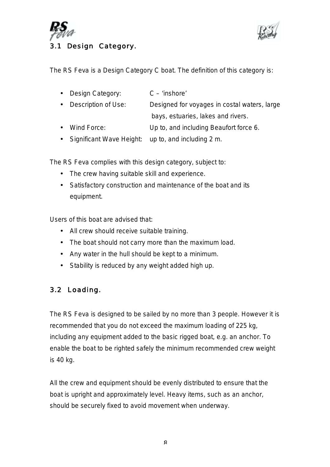



The RS Feva is a Design Category C boat. The definition of this category is:

| $\bullet$ . | Design Category:         | $C - 'inshore'$                              |
|-------------|--------------------------|----------------------------------------------|
| $\bullet$   | Description of Use:      | Designed for voyages in costal waters, large |
|             |                          | bays, estuaries, lakes and rivers.           |
|             | Wind Force:              | Up to, and including Beaufort force 6.       |
|             | Significant Wave Height: | up to, and including 2 m.                    |

The RS Feva complies with this design category, subject to:

- The crew having suitable skill and experience.
- Satisfactory construction and maintenance of the boat and its equipment.

Users of this boat are advised that:

- All crew should receive suitable training.
- The boat should not carry more than the maximum load.
- Any water in the hull should be kept to a minimum.
- Stability is reduced by any weight added high up.

# 3.2 Loading.

The RS Feva is designed to be sailed by no more than 3 people. However it is recommended that you do not exceed the maximum loading of 225 kg, including any equipment added to the basic rigged boat, e.g. an anchor. To enable the boat to be righted safely the minimum recommended crew weight is 40 kg.

All the crew and equipment should be evenly distributed to ensure that the boat is upright and approximately level. Heavy items, such as an anchor, should be securely fixed to avoid movement when underway.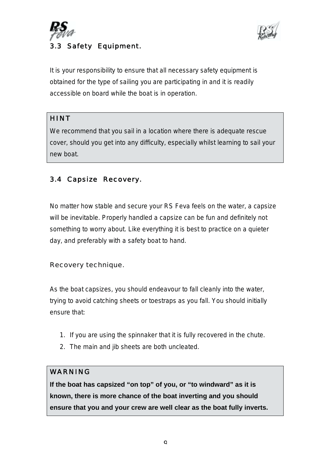



It is your responsibility to ensure that all necessary safety equipment is obtained for the type of sailing you are participating in and it is readily accessible on board while the boat is in operation.

# **HINT**

We recommend that you sail in a location where there is adequate rescue cover, should you get into any difficulty, especially whilst learning to sail your new boat.

# 3.4 Capsize Recovery.

No matter how stable and secure your RS Feva feels on the water, a capsize will be inevitable. Properly handled a capsize can be fun and definitely not something to worry about. Like everything it is best to practice on a quieter day, and preferably with a safety boat to hand.

# Recovery technique.

As the boat capsizes, you should endeavour to fall cleanly into the water, trying to avoid catching sheets or toestraps as you fall. You should initially ensure that:

- 1. If you are using the spinnaker that it is fully recovered in the chute.
- 2. The main and jib sheets are both uncleated.

# WARNING

**If the boat has capsized "on top" of you, or "to windward" as it is known, there is more chance of the boat inverting and you should ensure that you and your crew are well clear as the boat fully inverts.**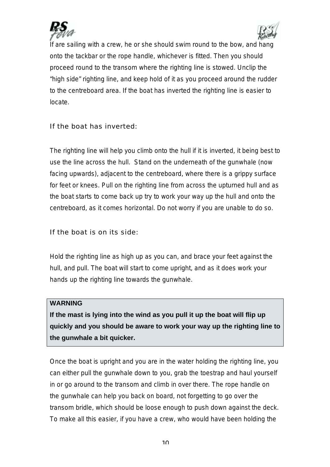



If are sailing with a crew, he or she should swim round to the bow, and hang onto the tackbar or the rope handle, whichever is fitted. Then you should proceed round to the transom where the righting line is stowed. Unclip the "high side" righting line, and keep hold of it as you proceed around the rudder to the centreboard area. If the boat has inverted the righting line is easier to locate.

### If the boat has inverted:

The righting line will help you climb onto the hull if it is inverted, it being best to use the line across the hull. Stand on the underneath of the gunwhale (now facing upwards), adjacent to the centreboard, where there is a grippy surface for feet or knees. Pull on the righting line from across the upturned hull and as the boat starts to come back up try to work your way up the hull and onto the centreboard, as it comes horizontal. Do not worry if you are unable to do so.

### If the boat is on its side:

Hold the righting line as high up as you can, and brace your feet against the hull, and pull. The boat will start to come upright, and as it does work your hands up the righting line towards the gunwhale.

### **WARNING**

**If the mast is lying into the wind as you pull it up the boat will flip up quickly and you should be aware to work your way up the righting line to the gunwhale a bit quicker.**

Once the boat is upright and you are in the water holding the righting line, you can either pull the gunwhale down to you, grab the toestrap and haul yourself in or go around to the transom and climb in over there. The rope handle on the gunwhale can help you back on board, not forgetting to go over the transom bridle, which should be loose enough to push down against the deck. To make all this easier, if you have a crew, who would have been holding the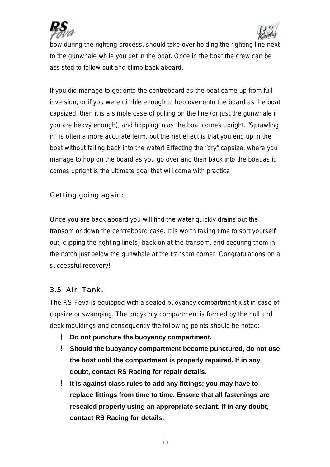



bow during the righting process, should take over holding the righting line next to the gunwhale while you get in the boat. Once in the boat the crew can be assisted to follow suit and climb back aboard.

If you did manage to get onto the centreboard as the boat came up from full inversion, or if you were nimble enough to hop over onto the board as the boat capsized, then it is a simple case of pulling on the line (or just the gunwhale if you are heavy enough), and hopping in as the boat comes upright. "Sprawling in" is often a more accurate term, but the net effect is that you end up in the boat without falling back into the water! Effecting the "dry" capsize, where you manage to hop on the board as you go over and then back into the boat as it comes upright is the ultimate goal that will come with practice!

Getting going again:

Once you are back aboard you will find the water quickly drains out the transom or down the centreboard case. It is worth taking time to sort yourself out, clipping the righting line(s) back on at the transom, and securing them in the notch just below the gunwhale at the transom corner. Congratulations on a successful recovery!

# 3.5 Air Tank.

The RS Feva is equipped with a sealed buoyancy compartment just in case of capsize or swamping. The buoyancy compartment is formed by the hull and deck mouldings and consequently the following points should be noted:

- ! **Do not puncture the buoyancy compartment.**
- ! **Should the buoyancy compartment become punctured, do not use the boat until the compartment is properly repaired. If in any doubt, contact RS Racing for repair details.**
- ! **It is against class rules to add any fittings; you may have to replace fittings from time to time. Ensure that all fastenings are resealed properly using an appropriate sealant. If in any doubt, contact RS Racing for details.**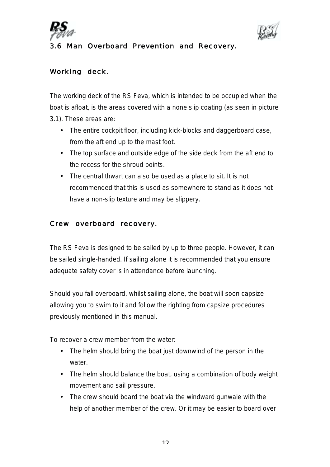



# 3.6 Man Overboard Prevention and Recovery.

# Working deck.

The working deck of the RS Feva, which is intended to be occupied when the boat is afloat, is the areas covered with a none slip coating (as seen in picture 3.1). These areas are:

- The entire cockpit floor, including kick-blocks and daggerboard case, from the aft end up to the mast foot.
- The top surface and outside edge of the side deck from the aft end to the recess for the shroud points.
- The central thwart can also be used as a place to sit. It is not recommended that this is used as somewhere to stand as it does not have a non-slip texture and may be slippery.

### Crew overboard recovery.

The RS Feva is designed to be sailed by up to three people. However, it can be sailed single-handed. If sailing alone it is recommended that you ensure adequate safety cover is in attendance before launching.

Should you fall overboard, whilst sailing alone, the boat will soon capsize allowing you to swim to it and follow the righting from capsize procedures previously mentioned in this manual.

To recover a crew member from the water:

- The helm should bring the boat just downwind of the person in the water.
- The helm should balance the boat, using a combination of body weight movement and sail pressure.
- The crew should board the boat via the windward gunwale with the help of another member of the crew. Or it may be easier to board over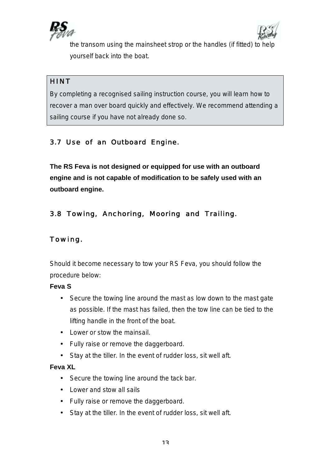



the transom using the mainsheet strop or the handles (if fitted) to help yourself back into the boat.

# HINT

By completing a recognised sailing instruction course, you will learn how to recover a man over board quickly and effectively. We recommend attending a sailing course if you have not already done so.

# 3.7 Use of an Outboard Engine.

**The RS Feva is not designed or equipped for use with an outboard engine and is not capable of modification to be safely used with an outboard engine.**

# 3.8 Towing, Anchoring, Mooring and Trailing.

# Towing.

Should it become necessary to tow your RS Feva, you should follow the procedure below:

### **Feva S**

- Secure the towing line around the mast as low down to the mast gate as possible. If the mast has failed, then the tow line can be tied to the lifting handle in the front of the boat.
- Lower or stow the mainsail.
- Fully raise or remove the daggerboard.
- Stay at the tiller. In the event of rudder loss, sit well aft.

### **Feva XL**

- Secure the towing line around the tack bar.
- Lower and stow all sails
- Fully raise or remove the daggerboard.
- Stay at the tiller. In the event of rudder loss, sit well aft.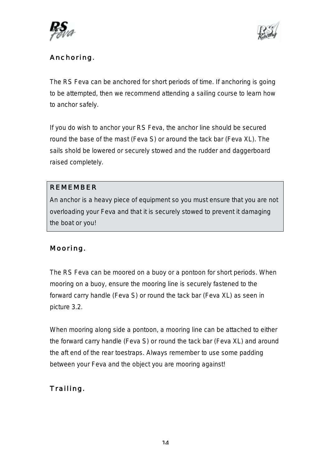



# Anchoring.

The RS Feva can be anchored for short periods of time. If anchoring is going to be attempted, then we recommend attending a sailing course to learn how to anchor safely.

If you do wish to anchor your RS Feva, the anchor line should be secured round the base of the mast (Feva S) or around the tack bar (Feva XL). The sails shold be lowered or securely stowed and the rudder and daggerboard raised completely.

# REMEMBER

An anchor is a heavy piece of equipment so you must ensure that you are not overloading your Feva and that it is securely stowed to prevent it damaging the boat or you!

# Mooring.

The RS Feva can be moored on a buoy or a pontoon for short periods. When mooring on a buoy, ensure the mooring line is securely fastened to the forward carry handle (Feva S) or round the tack bar (Feva XL) as seen in picture 3.2.

When mooring along side a pontoon, a mooring line can be attached to either the forward carry handle (Feva S) or round the tack bar (Feva XL) and around the aft end of the rear toestraps. Always remember to use some padding between your Feva and the object you are mooring against!

# Trailing.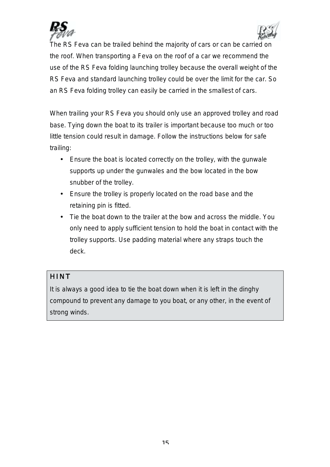



The RS Feva can be trailed behind the majority of cars or can be carried on the roof. When transporting a Feva on the roof of a car we recommend the use of the RS Feva folding launching trolley because the overall weight of the RS Feva and standard launching trolley could be over the limit for the car. So an RS Feva folding trolley can easily be carried in the smallest of cars.

When trailing your RS Feva you should only use an approved trolley and road base. Tying down the boat to its trailer is important because too much or too little tension could result in damage. Follow the instructions below for safe trailing:

- Ensure the boat is located correctly on the trolley, with the gunwale supports up under the gunwales and the bow located in the bow snubber of the trolley.
- Ensure the trolley is properly located on the road base and the retaining pin is fitted.
- Tie the boat down to the trailer at the bow and across the middle. You only need to apply sufficient tension to hold the boat in contact with the trolley supports. Use padding material where any straps touch the deck.

# **HINT**

It is always a good idea to tie the boat down when it is left in the dinghy compound to prevent any damage to you boat, or any other, in the event of strong winds.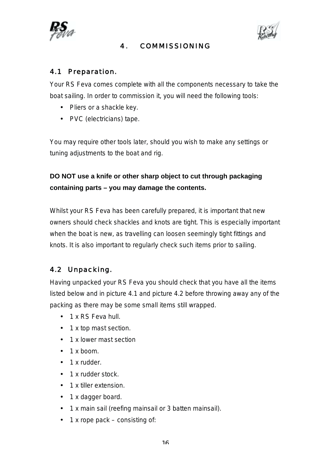

# 4. COMMISSIONING



# 4.1 Preparation.

Your RS Feva comes complete with all the components necessary to take the boat sailing. In order to commission it, you will need the following tools:

- Pliers or a shackle key.
- PVC (electricians) tape.

You may require other tools later, should you wish to make any settings or tuning adjustments to the boat and rig.

**DO NOT use a knife or other sharp object to cut through packaging containing parts – you may damage the contents.**

Whilst your RS Feva has been carefully prepared, it is important that new owners should check shackles and knots are tight. This is especially important when the boat is new, as travelling can loosen seemingly tight fittings and knots. It is also important to regularly check such items prior to sailing.

# 4.2 Unpacking.

Having unpacked your RS Feva you should check that you have all the items listed below and in picture 4.1 and picture 4.2 before throwing away any of the packing as there may be some small items still wrapped.

- 1 x RS Feva hull.
- 1 x top mast section.
- 1 x lower mast section
- $\cdot$  1 x boom.
- 1 x rudder.
- 1 x rudder stock.
- 1 x tiller extension.
- 1 x dagger board.
- 1 x main sail (reefing mainsail or 3 batten mainsail).
- $\cdot$  1 x rope pack consisting of: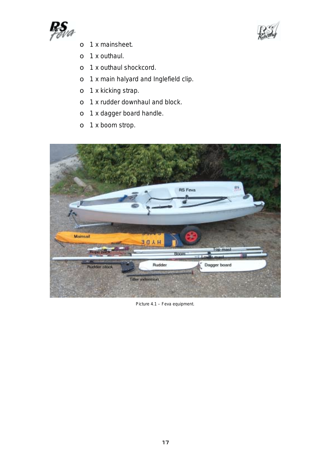



- o 1 x mainsheet.
- o 1 x outhaul.
- o 1 x outhaul shockcord.
- o 1 x main halyard and Inglefield clip.
- o 1 x kicking strap.
- o 1 x rudder downhaul and block.
- o 1 x dagger board handle.
- o 1 x boom strop.



Picture 4.1 – Feva equipment.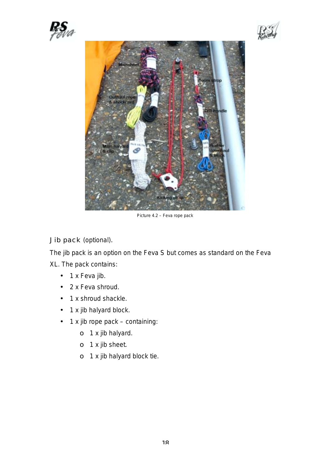





Picture 4.2 – Feva rope pack

Jib pack (optional).

The jib pack is an option on the Feva S but comes as standard on the Feva

XL. The pack contains:

- 1 x Feva jib.
- 2 x Feva shroud.
- 1 x shroud shackle.
- 1 x jib halyard block.
- 1 x jib rope pack containing:
	- o 1 x jib halyard.
	- o 1 x jib sheet.
	- o 1 x jib halyard block tie.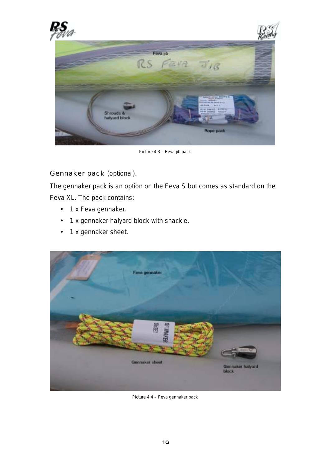





Picture 4.3 – Feva jib pack

Gennaker pack (optional).

The gennaker pack is an option on the Feva S but comes as standard on the Feva XL. The pack contains:

- 1 x Feva gennaker.
- 1 x gennaker halyard block with shackle.
- 1 x gennaker sheet.



Picture 4.4 – Feva gennaker pack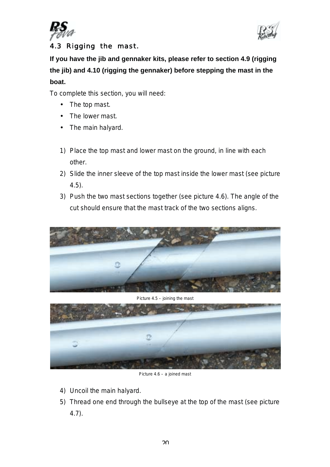



# 4.3 Rigging the mast.

**If you have the jib and gennaker kits, please refer to section 4.9 (rigging the jib) and 4.10 (rigging the gennaker) before stepping the mast in the boat.**

To complete this section, you will need:

- The top mast.
- The lower mast.
- The main halyard.
- 1) Place the top mast and lower mast on the ground, in line with each other.
- 2) Slide the inner sleeve of the top mast inside the lower mast (see picture 4.5).
- 3) Push the two mast sections together (see picture 4.6). The angle of the cut should ensure that the mast track of the two sections aligns.



#### Picture 4.5 – joining the mast



Picture 4.6 – a joined mast

- 4) Uncoil the main halyard.
- 5) Thread one end through the bullseye at the top of the mast (see picture 4.7).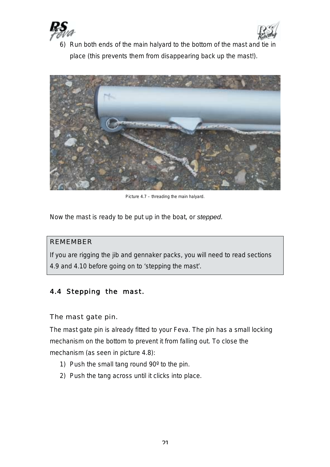



6) Run both ends of the main halyard to the bottom of the mast and tie in place (this prevents them from disappearing back up the mast!).



Picture 4.7 – threading the main halyard.

Now the mast is ready to be put up in the boat, or *stepped*.

### REMEMBER

If you are rigging the jib and gennaker packs, you will need to read sections 4.9 and 4.10 before going on to 'stepping the mast'.

# 4.4 Stepping the mast.

The mast gate pin.

The mast gate pin is already fitted to your Feva. The pin has a small locking mechanism on the bottom to prevent it from falling out. To close the mechanism (as seen in picture 4.8):

- 1) Push the small tang round 90º to the pin.
- 2) Push the tang across until it clicks into place.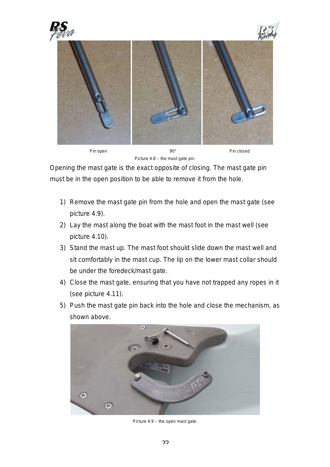

Pin open 190° Pin closed

Picture 4.8 – the mast gate pin.

Opening the mast gate is the exact opposite of closing. The mast gate pin must be in the open position to be able to remove it from the hole.

- 1) Remove the mast gate pin from the hole and open the mast gate (see picture 4.9).
- 2) Lay the mast along the boat with the mast foot in the mast well (see picture 4.10).
- 3) Stand the mast up. The mast foot should slide down the mast well and sit comfortably in the mast cup. The lip on the lower mast collar should be under the foredeck/mast gate.
- 4) Close the mast gate, ensuring that you have not trapped any ropes in it (see picture 4.11).
- 5) Push the mast gate pin back into the hole and close the mechanism, as shown above.



Picture 4.9 – the open mast gate.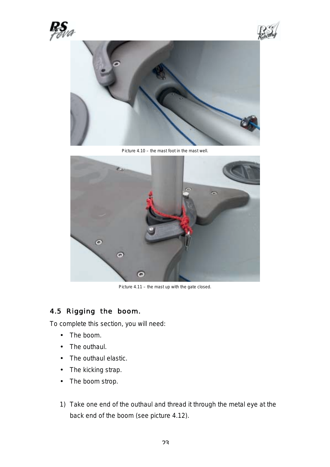





Picture 4.10 – the mast foot in the mast well.



Picture 4.11 – the mast up with the gate closed.

# 4.5 Rigging the boom.

To complete this section, you will need:

- The boom.
- The outhaul.
- The outhaul elastic.
- The kicking strap.
- The boom strop.
- 1) Take one end of the outhaul and thread it through the metal eye at the back end of the boom (see picture 4.12).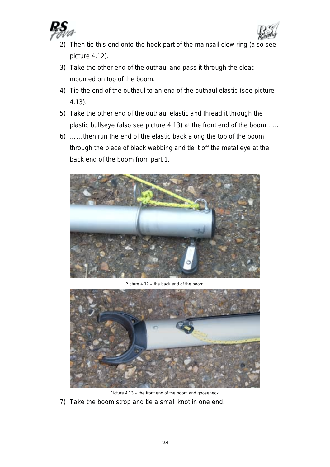



- 2) Then tie this end onto the hook part of the mainsail clew ring (also see picture 4.12).
- 3) Take the other end of the outhaul and pass it through the cleat mounted on top of the boom.
- 4) Tie the end of the outhaul to an end of the outhaul elastic (see picture 4.13).
- 5) Take the other end of the outhaul elastic and thread it through the plastic bullseye (also see picture 4.13) at the front end of the boom……
- 6) ……then run the end of the elastic back along the top of the boom, through the piece of black webbing and tie it off the metal eye at the back end of the boom from part 1.



Picture 4.12 – the back end of the boom.



Picture 4.13 – the front end of the boom and gooseneck.

7) Take the boom strop and tie a small knot in one end.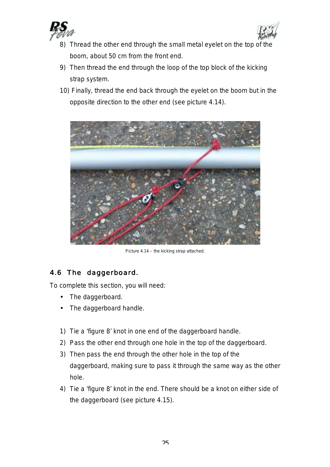



- 8) Thread the other end through the small metal eyelet on the top of the boom, about 50 cm from the front end.
- 9) Then thread the end through the loop of the top block of the kicking strap system.
- 10) Finally, thread the end back through the eyelet on the boom but in the opposite direction to the other end (see picture 4.14).



Picture 4.14 – the kicking strap attached.

# 4.6 The daggerboard.

To complete this section, you will need:

- The daggerboard.
- The daggerboard handle.
- 1) Tie a 'figure 8' knot in one end of the daggerboard handle.
- 2) Pass the other end through one hole in the top of the daggerboard.
- 3) Then pass the end through the other hole in the top of the daggerboard, making sure to pass it through the same way as the other hole.
- 4) Tie a 'figure 8' knot in the end. There should be a knot on either side of the daggerboard (see picture 4.15).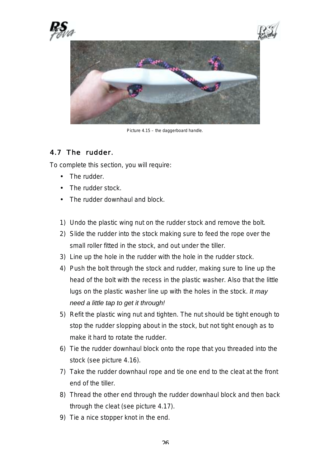

Picture 4.15 – the daggerboard handle.

# 4.7 The rudder.

To complete this section, you will require:

- The rudder.
- The rudder stock.
- The rudder downhaul and block.
- 1) Undo the plastic wing nut on the rudder stock and remove the bolt.
- 2) Slide the rudder into the stock making sure to feed the rope over the small roller fitted in the stock, and out under the tiller.
- 3) Line up the hole in the rudder with the hole in the rudder stock.
- 4) Push the bolt through the stock and rudder, making sure to line up the head of the bolt with the recess in the plastic washer. Also that the little lugs on the plastic washer line up with the holes in the stock. *It may need a little tap to get it through!*
- 5) Refit the plastic wing nut and tighten. The nut should be tight enough to stop the rudder slopping about in the stock, but not tight enough as to make it hard to rotate the rudder.
- 6) Tie the rudder downhaul block onto the rope that you threaded into the stock (see picture 4.16).
- 7) Take the rudder downhaul rope and tie one end to the cleat at the front end of the tiller.
- 8) Thread the other end through the rudder downhaul block and then back through the cleat (see picture 4.17).
- 9) Tie a nice stopper knot in the end.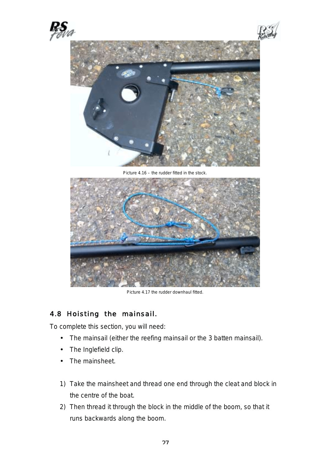





Picture 4.16 – the rudder fitted in the stock.



Picture 4.17 the rudder downhaul fitted.

# 4.8 Hoisting the mainsail.

To complete this section, you will need:

- The mainsail (either the reefing mainsail or the 3 batten mainsail).
- The Inglefield clip.
- The mainsheet.
- 1) Take the mainsheet and thread one end through the cleat and block in the centre of the boat.
- 2) Then thread it through the block in the middle of the boom, so that it runs backwards along the boom.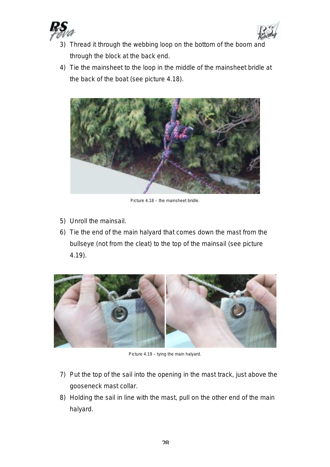



- 3) Thread it through the webbing loop on the bottom of the boom and through the block at the back end.
- 4) Tie the mainsheet to the loop in the middle of the mainsheet bridle at the back of the boat (see picture 4.18).



Picture 4.18 – the mainsheet bridle.

- 5) Unroll the mainsail.
- 6) Tie the end of the main halyard that comes down the mast from the bullseye (not from the cleat) to the top of the mainsail (see picture 4.19).



Picture 4.19 – tying the main halyard.

- 7) Put the top of the sail into the opening in the mast track, just above the gooseneck mast collar.
- 8) Holding the sail in line with the mast, pull on the other end of the main halyard.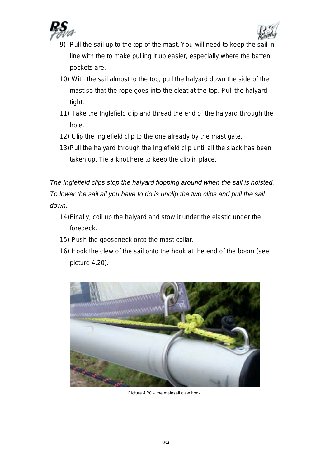



- 9) Pull the sail up to the top of the mast. You will need to keep the sail in line with the to make pulling it up easier, especially where the batten pockets are.
- 10) With the sail almost to the top, pull the halyard down the side of the mast so that the rope goes into the cleat at the top. Pull the halyard tight.
- 11) Take the Inglefield clip and thread the end of the halyard through the hole.
- 12) Clip the Inglefield clip to the one already by the mast gate.
- 13) Pull the halyard through the Inglefield clip until all the slack has been taken up. Tie a knot here to keep the clip in place.

*The Inglefield clips stop the halyard flopping around when the sail is hoisted. To lower the sail all you have to do is unclip the two clips and pull the sail down.*

- 14) Finally, coil up the halyard and stow it under the elastic under the foredeck.
- 15) Push the gooseneck onto the mast collar.
- 16) Hook the clew of the sail onto the hook at the end of the boom (see picture 4.20).



Picture 4.20 – the mainsail clew hook.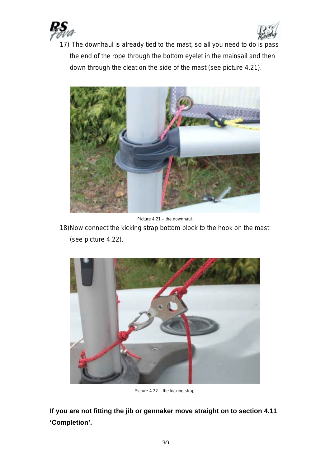



17) The downhaul is already tied to the mast, so all you need to do is pass the end of the rope through the bottom eyelet in the mainsail and then down through the cleat on the side of the mast (see picture 4.21).



Picture 4.21 – the downhaul.

18) Now connect the kicking strap bottom block to the hook on the mast (see picture 4.22).



Picture 4.22 – the kicking strap.

**If you are not fitting the jib or gennaker move straight on to section 4.11 'Completion'.**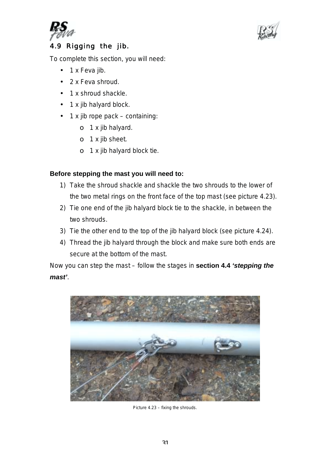



# 4.9 Rigging the jib.

To complete this section, you will need:

- 1 x Feva iib.
- 2 x Feva shroud.
- 1 x shroud shackle.
- 1 x jib halyard block.
- 1 x jib rope pack containing:
	- o 1 x jib halyard.
	- o 1 x jib sheet.
	- o 1 x jib halyard block tie.

# **Before stepping the mast you will need to:**

- 1) Take the shroud shackle and shackle the two shrouds to the lower of the two metal rings on the front face of the top mast (see picture 4.23).
- 2) Tie one end of the jib halyard block tie to the shackle, in between the two shrouds.
- 3) Tie the other end to the top of the jib halyard block (see picture 4.24).
- 4) Thread the jib halyard through the block and make sure both ends are secure at the bottom of the mast.

Now you can step the mast – follow the stages in **section 4.4** *'stepping the mast'*.



Picture 4.23 – fixing the shrouds.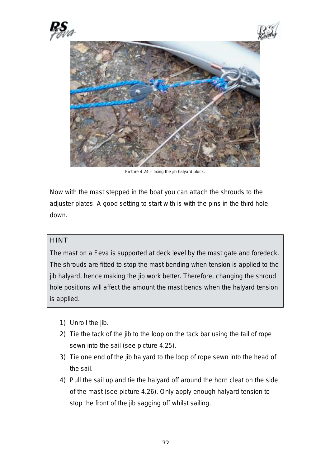

Picture 4.24 – fixing the jib halyard block.

Now with the mast stepped in the boat you can attach the shrouds to the adjuster plates. A good setting to start with is with the pins in the third hole down.

### **HINT**

The mast on a Feva is supported at deck level by the mast gate and foredeck. The shrouds are fitted to stop the mast bending when tension is applied to the jib halyard, hence making the jib work better. Therefore, changing the shroud hole positions will affect the amount the mast bends when the halyard tension is applied.

- 1) Unroll the jib.
- 2) Tie the tack of the jib to the loop on the tack bar using the tail of rope sewn into the sail (see picture 4.25).
- 3) Tie one end of the jib halyard to the loop of rope sewn into the head of the sail.
- 4) Pull the sail up and tie the halyard off around the horn cleat on the side of the mast (see picture 4.26). Only apply enough halyard tension to stop the front of the jib sagging off whilst sailing.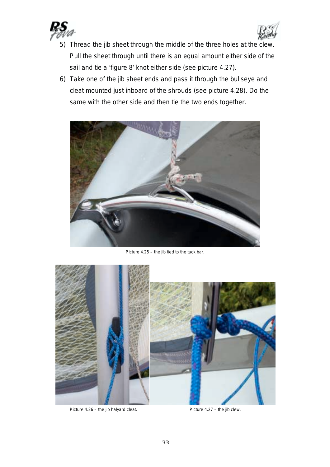



- 5) Thread the jib sheet through the middle of the three holes at the clew. Pull the sheet through until there is an equal amount either side of the sail and tie a 'figure 8' knot either side (see picture 4.27).
- 6) Take one of the jib sheet ends and pass it through the bullseye and cleat mounted just inboard of the shrouds (see picture 4.28). Do the same with the other side and then tie the two ends together.



Picture 4.25 – the jib tied to the tack bar.



Picture 4.26 – the jib halyard cleat. Picture 4.27 – the jib clew.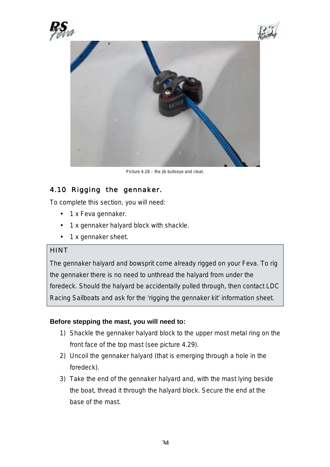





Picture 4.28 – the jib bullseye and cleat.

# 4.10 Rigging the gennaker.

To complete this section, you will need:

- 1 x Feva gennaker.
- 1 x gennaker halyard block with shackle.
- 1 x gennaker sheet.

### **HINT**

The gennaker halyard and bowsprit come already rigged on your Feva. To rig the gennaker there is no need to unthread the halyard from under the foredeck. Should the halyard be accidentally pulled through, then contact LDC Racing Sailboats and ask for the 'rigging the gennaker kit' information sheet.

### **Before stepping the mast, you will need to:**

- 1) Shackle the gennaker halyard block to the upper most metal ring on the front face of the top mast (see picture 4.29).
- 2) Uncoil the gennaker halyard (that is emerging through a hole in the foredeck).
- 3) Take the end of the gennaker halyard and, with the mast lying beside the boat, thread it through the halyard block. Secure the end at the base of the mast.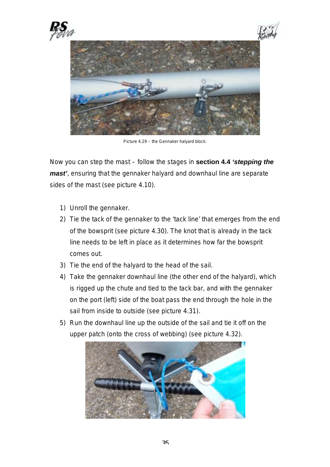

Picture 4.29 – the Gennaker halyard block.

Now you can step the mast – follow the stages in **section 4.4** *'stepping the mast'*, ensuring that the gennaker halyard and downhaul line are separate sides of the mast (see picture 4.10).

- 1) Unroll the gennaker.
- 2) Tie the tack of the gennaker to the 'tack line' that emerges from the end of the bowsprit (see picture 4.30). The knot that is already in the tack line needs to be left in place as it determines how far the bowsprit comes out.
- 3) Tie the end of the halyard to the head of the sail.
- 4) Take the gennaker downhaul line (the other end of the halyard), which is rigged up the chute and tied to the tack bar, and with the gennaker on the port (left) side of the boat pass the end through the hole in the sail from inside to outside (see picture 4.31).
- 5) Run the downhaul line up the outside of the sail and tie it off on the upper patch (onto the cross of webbing) (see picture 4.32).

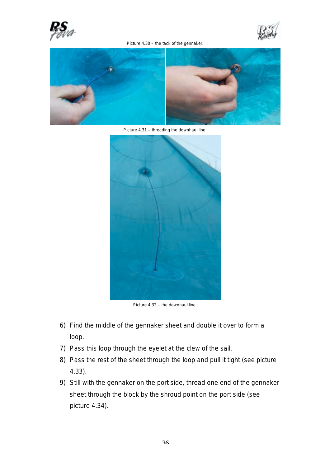

Picture 4.30 – the tack of the gennaker.





Picture 4.31 – threading the downhaul line.



Picture 4.32 – the downhaul line.

- 6) Find the middle of the gennaker sheet and double it over to form a loop.
- 7) Pass this loop through the eyelet at the clew of the sail.
- 8) Pass the rest of the sheet through the loop and pull it tight (see picture 4.33).
- 9) Still with the gennaker on the port side, thread one end of the gennaker sheet through the block by the shroud point on the port side (see picture 4.34).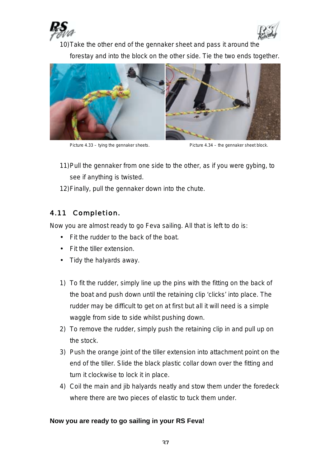



10) Take the other end of the gennaker sheet and pass it around the forestay and into the block on the other side. Tie the two ends together.



Picture 4.33 – tying the gennaker sheets. Picture 4.34 – the gennaker sheet block.

- 11) Pull the gennaker from one side to the other, as if you were gybing, to see if anything is twisted.
- 12) Finally, pull the gennaker down into the chute.

# 4.11 Completion.

Now you are almost ready to go Feva sailing. All that is left to do is:

- Fit the rudder to the back of the boat.
- Fit the tiller extension.
- Tidy the halyards away.
- 1) To fit the rudder, simply line up the pins with the fitting on the back of the boat and push down until the retaining clip 'clicks' into place. The rudder may be difficult to get on at first but all it will need is a simple waggle from side to side whilst pushing down.
- 2) To remove the rudder, simply push the retaining clip in and pull up on the stock.
- 3) Push the orange joint of the tiller extension into attachment point on the end of the tiller. Slide the black plastic collar down over the fitting and turn it clockwise to lock it in place.
- 4) Coil the main and jib halyards neatly and stow them under the foredeck where there are two pieces of elastic to tuck them under.

### **Now you are ready to go sailing in your RS Feva!**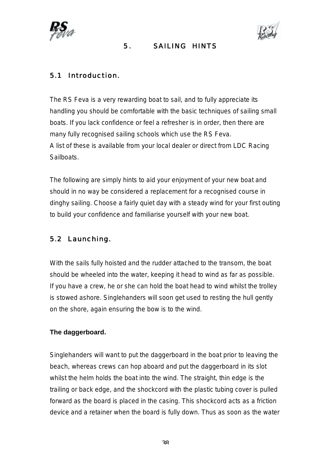



### 5. SAILING HINTS

# 5.1 Introduction.

The RS Feva is a very rewarding boat to sail, and to fully appreciate its handling you should be comfortable with the basic techniques of sailing small boats. If you lack confidence or feel a refresher is in order, then there are many fully recognised sailing schools which use the RS Feva. A list of these is available from your local dealer or direct from LDC Racing **Sailboats** 

The following are simply hints to aid your enjoyment of your new boat and should in no way be considered a replacement for a recognised course in dinghy sailing. Choose a fairly quiet day with a steady wind for your first outing to build your confidence and familiarise yourself with your new boat.

# 5.2 Launching.

With the sails fully hoisted and the rudder attached to the transom, the boat should be wheeled into the water, keeping it head to wind as far as possible. If you have a crew, he or she can hold the boat head to wind whilst the trolley is stowed ashore. Singlehanders will soon get used to resting the hull gently on the shore, again ensuring the bow is to the wind.

### **The daggerboard.**

Singlehanders will want to put the daggerboard in the boat prior to leaving the beach, whereas crews can hop aboard and put the daggerboard in its slot whilst the helm holds the boat into the wind. The straight, thin edge is the trailing or back edge, and the shockcord with the plastic tubing cover is pulled forward as the board is placed in the casing. This shockcord acts as a friction device and a retainer when the board is fully down. Thus as soon as the water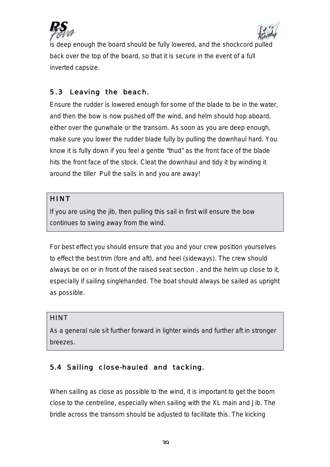



is deep enough the board should be fully lowered, and the shockcord pulled back over the top of the board, so that it is secure in the event of a full inverted capsize.

# 5.3 Leaving the beach.

Ensure the rudder is lowered enough for some of the blade to be in the water, and then the bow is now pushed off the wind, and helm should hop aboard, either over the gunwhale or the transom. As soon as you are deep enough, make sure you lower the rudder blade fully by pulling the downhaul hard. You know it is fully down if you feel a gentle "thud" as the front face of the blade hits the front face of the stock. Cleat the downhaul and tidy it by winding it around the tiller Pull the sails in and you are away!

### HINT

If you are using the jib, then pulling this sail in first will ensure the bow continues to swing away from the wind.

For best effect you should ensure that you and your crew position yourselves to effect the best trim (fore and aft), and heel (sideways). The crew should always be on or in front of the raised seat section , and the helm up close to it, especially if sailing singlehanded. The boat should always be sailed as upright as possible.

### **HINT**

As a general rule sit further forward in lighter winds and further aft in stronger breezes.

# 5.4 Sailing close-hauled and tacking.

When sailing as close as possible to the wind, it is important to get the boom close to the centreline, especially when sailing with the XL main and Jib. The bridle across the transom should be adjusted to facilitate this. The kicking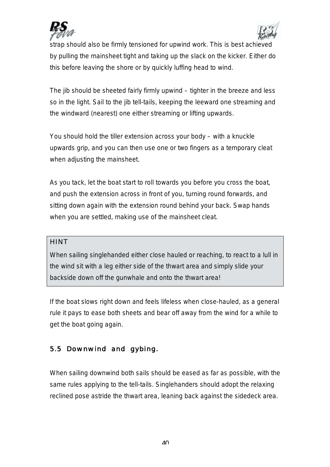



strap should also be firmly tensioned for upwind work. This is best achieved by pulling the mainsheet tight and taking up the slack on the kicker. Either do this before leaving the shore or by quickly luffing head to wind.

The jib should be sheeted fairly firmly upwind – tighter in the breeze and less so in the light. Sail to the jib tell-tails, keeping the leeward one streaming and the windward (nearest) one either streaming or lifting upwards.

You should hold the tiller extension across your body – with a knuckle upwards grip, and you can then use one or two fingers as a temporary cleat when adjusting the mainsheet.

As you tack, let the boat start to roll towards you before you cross the boat, and push the extension across in front of you, turning round forwards, and sitting down again with the extension round behind your back. Swap hands when you are settled, making use of the mainsheet cleat.

### **HINT**

When sailing singlehanded either close hauled or reaching, to react to a lull in the wind sit with a leg either side of the thwart area and simply slide your backside down off the gunwhale and onto the thwart area!

If the boat slows right down and feels lifeless when close-hauled, as a general rule it pays to ease both sheets and bear off away from the wind for a while to get the boat going again.

# 5.5 Downwind and gybing.

When sailing downwind both sails should be eased as far as possible, with the same rules applying to the tell-tails. Singlehanders should adopt the relaxing reclined pose astride the thwart area, leaning back against the sidedeck area.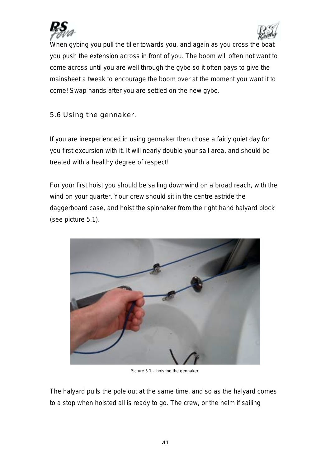



When gybing you pull the tiller towards you, and again as you cross the boat you push the extension across in front of you. The boom will often not want to come across until you are well through the gybe so it often pays to give the mainsheet a tweak to encourage the boom over at the moment you want it to come! Swap hands after you are settled on the new gybe.

5.6 Using the gennaker.

If you are inexperienced in using gennaker then chose a fairly quiet day for you first excursion with it. It will nearly double your sail area, and should be treated with a healthy degree of respect!

For your first hoist you should be sailing downwind on a broad reach, with the wind on your quarter. Your crew should sit in the centre astride the daggerboard case, and hoist the spinnaker from the right hand halyard block (see picture 5.1).



Picture 5.1 – hoisting the gennaker.

The halyard pulls the pole out at the same time, and so as the halyard comes to a stop when hoisted all is ready to go. The crew, or the helm if sailing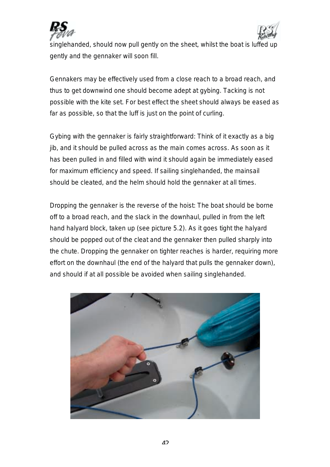



singlehanded, should now pull gently on the sheet, whilst the boat is luffed up gently and the gennaker will soon fill.

Gennakers may be effectively used from a close reach to a broad reach, and thus to get downwind one should become adept at gybing. Tacking is not possible with the kite set. For best effect the sheet should always be eased as far as possible, so that the luff is just on the point of curling.

Gybing with the gennaker is fairly straightforward: Think of it exactly as a big jib, and it should be pulled across as the main comes across. As soon as it has been pulled in and filled with wind it should again be immediately eased for maximum efficiency and speed. If sailing singlehanded, the mainsail should be cleated, and the helm should hold the gennaker at all times.

Dropping the gennaker is the reverse of the hoist: The boat should be borne off to a broad reach, and the slack in the downhaul, pulled in from the left hand halyard block, taken up (see picture 5.2). As it goes tight the halyard should be popped out of the cleat and the gennaker then pulled sharply into the chute. Dropping the gennaker on tighter reaches is harder, requiring more effort on the downhaul (the end of the halyard that pulls the gennaker down), and should if at all possible be avoided when sailing singlehanded.

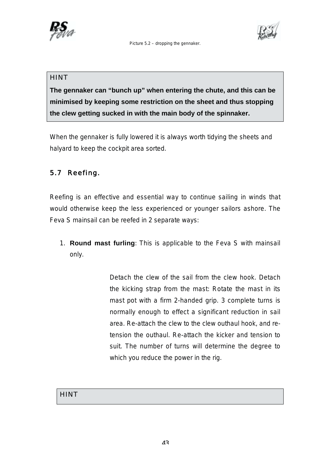

Picture 5.2 – dropping the gennaker.



### **HINT**

**The gennaker can "bunch up" when entering the chute, and this can be minimised by keeping some restriction on the sheet and thus stopping the clew getting sucked in with the main body of the spinnaker.**

When the gennaker is fully lowered it is always worth tidying the sheets and halyard to keep the cockpit area sorted.

# 5.7 Reefing.

Reefing is an effective and essential way to continue sailing in winds that would otherwise keep the less experienced or younger sailors ashore. The Feva S mainsail can be reefed in 2 separate ways:

1. **Round mast furling**: This is applicable to the Feva S with mainsail only.

> Detach the clew of the sail from the clew hook. Detach the kicking strap from the mast: Rotate the mast in its mast pot with a firm 2-handed grip. 3 complete turns is normally enough to effect a significant reduction in sail area. Re-attach the clew to the clew outhaul hook, and retension the outhaul. Re-attach the kicker and tension to suit. The number of turns will determine the degree to which you reduce the power in the rig.

# **HINT**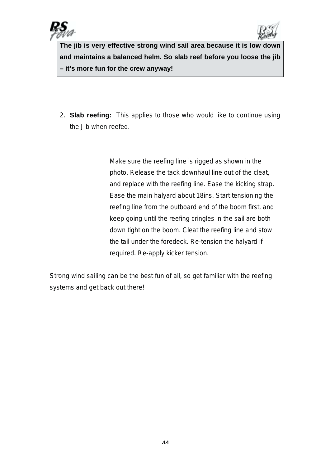



**The jib is very effective strong wind sail area because it is low down and maintains a balanced helm. So slab reef before you loose the jib – it's more fun for the crew anyway!**

2. **Slab reefing:** This applies to those who would like to continue using the Jib when reefed.

> Make sure the reefing line is rigged as shown in the photo. Release the tack downhaul line out of the cleat, and replace with the reefing line. Ease the kicking strap. Ease the main halyard about 18ins. Start tensioning the reefing line from the outboard end of the boom first, and keep going until the reefing cringles in the sail are both down tight on the boom. Cleat the reefing line and stow the tail under the foredeck. Re-tension the halyard if required. Re-apply kicker tension.

Strong wind sailing can be the best fun of all, so get familiar with the reefing systems and get back out there!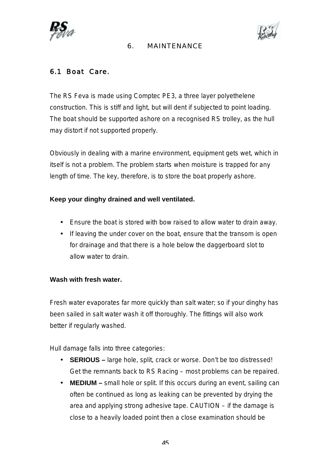



### 6. MAINTENANCE

# 6.1 Boat Care.

The RS Feva is made using Comptec PE3, a three layer polyethelene construction. This is stiff and light, but will dent if subjected to point loading. The boat should be supported ashore on a recognised RS trolley, as the hull may distort if not supported properly.

Obviously in dealing with a marine environment, equipment gets wet, which in itself is not a problem. The problem starts when moisture is trapped for any length of time. The key, therefore, is to store the boat properly ashore.

### **Keep your dinghy drained and well ventilated.**

- Ensure the boat is stored with bow raised to allow water to drain away.
- If leaving the under cover on the boat, ensure that the transom is open for drainage and that there is a hole below the daggerboard slot to allow water to drain.

### **Wash with fresh water.**

Fresh water evaporates far more quickly than salt water; so if your dinghy has been sailed in salt water wash it off thoroughly. The fittings will also work better if regularly washed.

Hull damage falls into three categories:

- **SERIOUS** large hole, split, crack or worse. Don't be too distressed! Get the remnants back to RS Racing – most problems can be repaired.
- **MEDIUM** small hole or split. If this occurs during an event, sailing can often be continued as long as leaking can be prevented by drying the area and applying strong adhesive tape. CAUTION – if the damage is close to a heavily loaded point then a close examination should be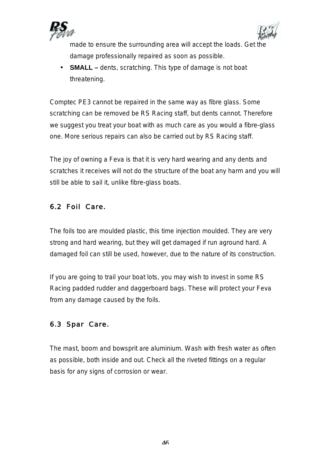



made to ensure the surrounding area will accept the loads. Get the damage professionally repaired as soon as possible.

• **SMALL –** dents, scratching. This type of damage is not boat threatening.

Comptec PE3 cannot be repaired in the same way as fibre glass. Some scratching can be removed be RS Racing staff, but dents cannot. Therefore we suggest you treat your boat with as much care as you would a fibre-glass one. More serious repairs can also be carried out by RS Racing staff.

The joy of owning a Feva is that it is very hard wearing and any dents and scratches it receives will not do the structure of the boat any harm and you will still be able to sail it, unlike fibre-glass boats.

# 6.2 Foil Care.

The foils too are moulded plastic, this time injection moulded. They are very strong and hard wearing, but they will get damaged if run aground hard. A damaged foil can still be used, however, due to the nature of its construction.

If you are going to trail your boat lots, you may wish to invest in some RS Racing padded rudder and daggerboard bags. These will protect your Feva from any damage caused by the foils.

# 6.3 Spar Care.

The mast, boom and bowsprit are aluminium. Wash with fresh water as often as possible, both inside and out. Check all the riveted fittings on a regular basis for any signs of corrosion or wear.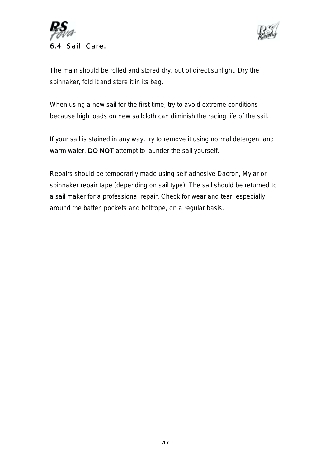



The main should be rolled and stored dry, out of direct sunlight. Dry the spinnaker, fold it and store it in its bag.

When using a new sail for the first time, try to avoid extreme conditions because high loads on new sailcloth can diminish the racing life of the sail.

If your sail is stained in any way, try to remove it using normal detergent and warm water. **DO NOT** attempt to launder the sail yourself.

Repairs should be temporarily made using self-adhesive Dacron, Mylar or spinnaker repair tape (depending on sail type). The sail should be returned to a sail maker for a professional repair. Check for wear and tear, especially around the batten pockets and boltrope, on a regular basis.